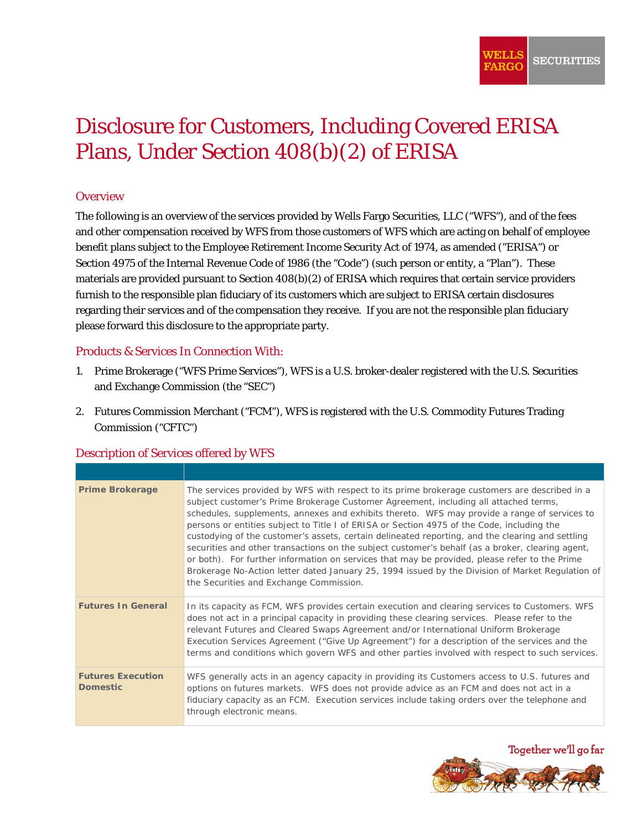# Disclosure for Customers, Including Covered ERISA Plans, Under Section 408(b)(2) of ERISA

#### **Overview**

 Section 4975 of the Internal Revenue Code of 1986 (the "Code") (such person or entity, a "Plan"). These regarding their services and of the compensation they receive. If you are not the responsible plan fiduciary The following is an overview of the services provided by Wells Fargo Securities, LLC ("WFS"), and of the fees and other compensation received by WFS from those customers of WFS which are acting on behalf of employee benefit plans subject to the Employee Retirement Income Security Act of 1974, as amended ("ERISA") or materials are provided pursuant to Section 408(b)(2) of ERISA which requires that certain service providers furnish to the responsible plan fiduciary of its customers which are subject to ERISA certain disclosures please forward this disclosure to the appropriate party.

#### Products & Services In Connection With:

- 1. Prime Brokerage ("WFS Prime Services"), WFS is a U.S. broker-dealer registered with the U.S. Securities and Exchange Commission (the "SEC")
- 2. Futures Commission Merchant ("FCM"), WFS is registered with the U.S. Commodity Futures Trading Commission ("CFTC")

| <b>Description of Services offered by WFS</b> |  |  |
|-----------------------------------------------|--|--|
|                                               |  |  |

| <b>Prime Brokerage</b>                      | The services provided by WFS with respect to its prime brokerage customers are described in a<br>subject customer's Prime Brokerage Customer Agreement, including all attached terms,<br>schedules, supplements, annexes and exhibits thereto. WFS may provide a range of services to<br>persons or entities subject to Title I of ERISA or Section 4975 of the Code, including the<br>custodying of the customer's assets, certain delineated reporting, and the clearing and settling<br>securities and other transactions on the subject customer's behalf (as a broker, clearing agent,<br>or both). For further information on services that may be provided, please refer to the Prime<br>Brokerage No-Action letter dated January 25, 1994 issued by the Division of Market Regulation of<br>the Securities and Exchange Commission. |
|---------------------------------------------|---------------------------------------------------------------------------------------------------------------------------------------------------------------------------------------------------------------------------------------------------------------------------------------------------------------------------------------------------------------------------------------------------------------------------------------------------------------------------------------------------------------------------------------------------------------------------------------------------------------------------------------------------------------------------------------------------------------------------------------------------------------------------------------------------------------------------------------------|
| <b>Futures In General</b>                   | In its capacity as FCM, WFS provides certain execution and clearing services to Customers. WFS<br>does not act in a principal capacity in providing these clearing services. Please refer to the<br>relevant Futures and Cleared Swaps Agreement and/or International Uniform Brokerage<br>Execution Services Agreement ("Give Up Agreement") for a description of the services and the<br>terms and conditions which govern WFS and other parties involved with respect to such services.                                                                                                                                                                                                                                                                                                                                                  |
| <b>Futures Execution</b><br><b>Domestic</b> | WFS generally acts in an agency capacity in providing its Customers access to U.S. futures and<br>options on futures markets. WFS does not provide advice as an FCM and does not act in a<br>fiduciary capacity as an FCM. Execution services include taking orders over the telephone and<br>through electronic means.                                                                                                                                                                                                                                                                                                                                                                                                                                                                                                                     |

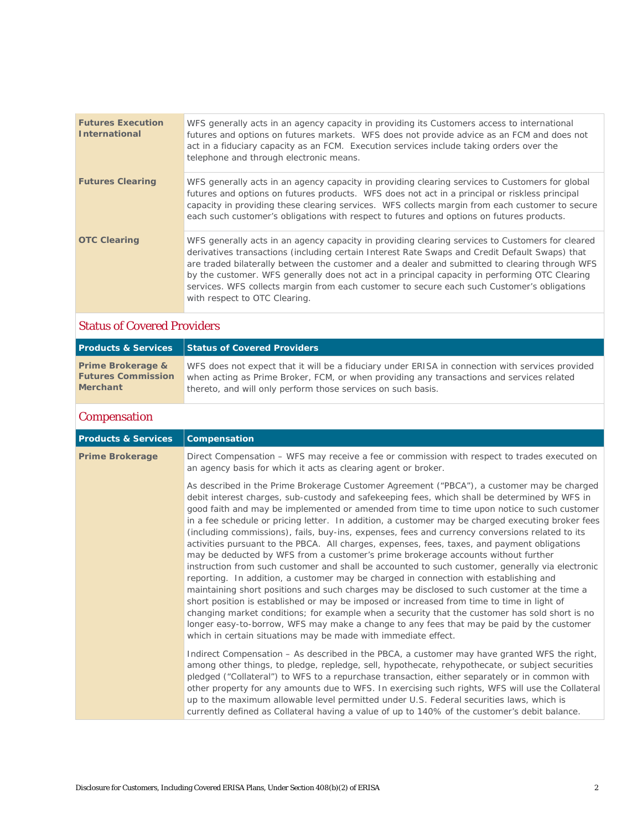| <b>Futures Execution</b><br><b>International</b> | WFS generally acts in an agency capacity in providing its Customers access to international<br>futures and options on futures markets. WFS does not provide advice as an FCM and does not<br>act in a fiduciary capacity as an FCM. Execution services include taking orders over the<br>telephone and through electronic means.                                                                                                                                                                                                       |
|--------------------------------------------------|----------------------------------------------------------------------------------------------------------------------------------------------------------------------------------------------------------------------------------------------------------------------------------------------------------------------------------------------------------------------------------------------------------------------------------------------------------------------------------------------------------------------------------------|
| <b>Futures Clearing</b>                          | WFS generally acts in an agency capacity in providing clearing services to Customers for global<br>futures and options on futures products. WFS does not act in a principal or riskless principal<br>capacity in providing these clearing services. WFS collects margin from each customer to secure<br>each such customer's obligations with respect to futures and options on futures products.                                                                                                                                      |
| <b>OTC Clearing</b>                              | WFS generally acts in an agency capacity in providing clearing services to Customers for cleared<br>derivatives transactions (including certain Interest Rate Swaps and Credit Default Swaps) that<br>are traded bilaterally between the customer and a dealer and submitted to clearing through WFS<br>by the customer. WFS generally does not act in a principal capacity in performing OTC Clearing<br>services. WFS collects margin from each customer to secure each such Customer's obligations<br>with respect to OTC Clearing. |

## Status of Covered Providers

| <b>Products &amp; Services</b> | Status of Covered Providers                                                                      |
|--------------------------------|--------------------------------------------------------------------------------------------------|
| Prime Brokerage &              | WFS does not expect that it will be a fiduciary under ERISA in connection with services provided |
| <b>Futures Commission</b>      | when acting as Prime Broker, FCM, or when providing any transactions and services related        |
| <b>Merchant</b>                | thereto, and will only perform those services on such basis.                                     |

### **Compensation**

| <b>Products &amp; Services</b> | Compensation                                                                                                                                                                                                                                                                                                                                                                                                                                                                                                                                                                                                                                                                                                                                                                                                                                                                                                                                                                                                                                                                                                                                                                                                                                                                                                                                        |
|--------------------------------|-----------------------------------------------------------------------------------------------------------------------------------------------------------------------------------------------------------------------------------------------------------------------------------------------------------------------------------------------------------------------------------------------------------------------------------------------------------------------------------------------------------------------------------------------------------------------------------------------------------------------------------------------------------------------------------------------------------------------------------------------------------------------------------------------------------------------------------------------------------------------------------------------------------------------------------------------------------------------------------------------------------------------------------------------------------------------------------------------------------------------------------------------------------------------------------------------------------------------------------------------------------------------------------------------------------------------------------------------------|
| <b>Prime Brokerage</b>         | Direct Compensation – WFS may receive a fee or commission with respect to trades executed on<br>an agency basis for which it acts as clearing agent or broker.                                                                                                                                                                                                                                                                                                                                                                                                                                                                                                                                                                                                                                                                                                                                                                                                                                                                                                                                                                                                                                                                                                                                                                                      |
|                                | As described in the Prime Brokerage Customer Agreement ("PBCA"), a customer may be charged<br>debit interest charges, sub-custody and safekeeping fees, which shall be determined by WFS in<br>good faith and may be implemented or amended from time to time upon notice to such customer<br>in a fee schedule or pricing letter. In addition, a customer may be charged executing broker fees<br>(including commissions), fails, buy-ins, expenses, fees and currency conversions related to its<br>activities pursuant to the PBCA. All charges, expenses, fees, taxes, and payment obligations<br>may be deducted by WFS from a customer's prime brokerage accounts without further<br>instruction from such customer and shall be accounted to such customer, generally via electronic<br>reporting. In addition, a customer may be charged in connection with establishing and<br>maintaining short positions and such charges may be disclosed to such customer at the time a<br>short position is established or may be imposed or increased from time to time in light of<br>changing market conditions; for example when a security that the customer has sold short is no<br>longer easy-to-borrow, WFS may make a change to any fees that may be paid by the customer<br>which in certain situations may be made with immediate effect. |
|                                | Indirect Compensation - As described in the PBCA, a customer may have granted WFS the right,<br>among other things, to pledge, repledge, sell, hypothecate, rehypothecate, or subject securities<br>pledged ("Collateral") to WFS to a repurchase transaction, either separately or in common with<br>other property for any amounts due to WFS. In exercising such rights, WFS will use the Collateral<br>up to the maximum allowable level permitted under U.S. Federal securities laws, which is<br>currently defined as Collateral having a value of up to 140% of the customer's debit balance.                                                                                                                                                                                                                                                                                                                                                                                                                                                                                                                                                                                                                                                                                                                                                |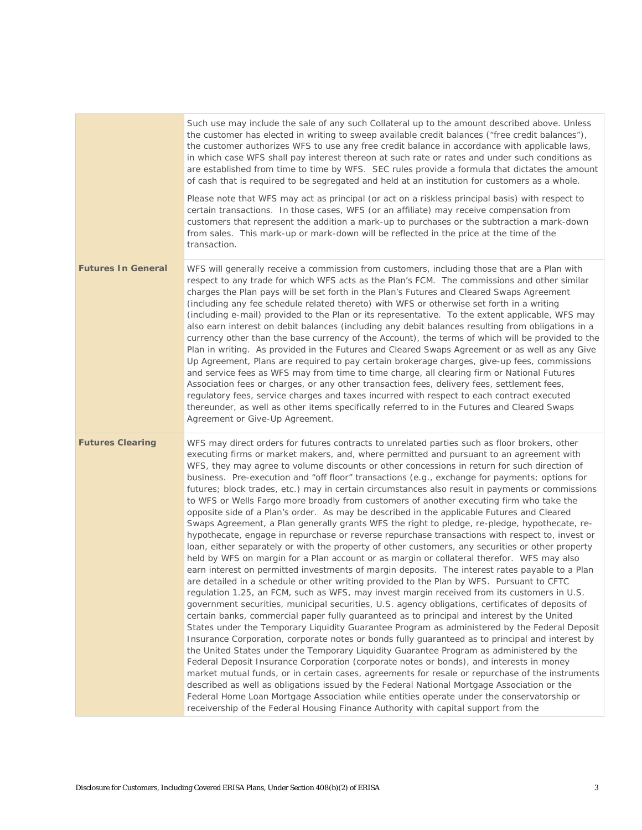|                           | Such use may include the sale of any such Collateral up to the amount described above. Unless<br>the customer has elected in writing to sweep available credit balances ("free credit balances"),<br>the customer authorizes WFS to use any free credit balance in accordance with applicable laws,<br>in which case WFS shall pay interest thereon at such rate or rates and under such conditions as<br>are established from time to time by WFS. SEC rules provide a formula that dictates the amount<br>of cash that is required to be segregated and held at an institution for customers as a whole.<br>Please note that WFS may act as principal (or act on a riskless principal basis) with respect to                                                                                                                                                                                                                                                                                                                                                                                                                                                                                                                                                                                                                                                                                                                                                                                                                                                                                                                                                                                                                                                                                                                                                                                                                                                                                                                                                                                                                                                                                                                                                                                                                                                                           |
|---------------------------|------------------------------------------------------------------------------------------------------------------------------------------------------------------------------------------------------------------------------------------------------------------------------------------------------------------------------------------------------------------------------------------------------------------------------------------------------------------------------------------------------------------------------------------------------------------------------------------------------------------------------------------------------------------------------------------------------------------------------------------------------------------------------------------------------------------------------------------------------------------------------------------------------------------------------------------------------------------------------------------------------------------------------------------------------------------------------------------------------------------------------------------------------------------------------------------------------------------------------------------------------------------------------------------------------------------------------------------------------------------------------------------------------------------------------------------------------------------------------------------------------------------------------------------------------------------------------------------------------------------------------------------------------------------------------------------------------------------------------------------------------------------------------------------------------------------------------------------------------------------------------------------------------------------------------------------------------------------------------------------------------------------------------------------------------------------------------------------------------------------------------------------------------------------------------------------------------------------------------------------------------------------------------------------------------------------------------------------------------------------------------------------|
|                           | certain transactions. In those cases, WFS (or an affiliate) may receive compensation from<br>customers that represent the addition a mark-up to purchases or the subtraction a mark-down<br>from sales. This mark-up or mark-down will be reflected in the price at the time of the<br>transaction.                                                                                                                                                                                                                                                                                                                                                                                                                                                                                                                                                                                                                                                                                                                                                                                                                                                                                                                                                                                                                                                                                                                                                                                                                                                                                                                                                                                                                                                                                                                                                                                                                                                                                                                                                                                                                                                                                                                                                                                                                                                                                      |
| <b>Futures In General</b> | WFS will generally receive a commission from customers, including those that are a Plan with<br>respect to any trade for which WFS acts as the Plan's FCM. The commissions and other similar<br>charges the Plan pays will be set forth in the Plan's Futures and Cleared Swaps Agreement<br>(including any fee schedule related thereto) with WFS or otherwise set forth in a writing<br>(including e-mail) provided to the Plan or its representative. To the extent applicable, WFS may<br>also earn interest on debit balances (including any debit balances resulting from obligations in a<br>currency other than the base currency of the Account), the terms of which will be provided to the<br>Plan in writing. As provided in the Futures and Cleared Swaps Agreement or as well as any Give<br>Up Agreement, Plans are required to pay certain brokerage charges, give-up fees, commissions<br>and service fees as WFS may from time to time charge, all clearing firm or National Futures<br>Association fees or charges, or any other transaction fees, delivery fees, settlement fees,<br>regulatory fees, service charges and taxes incurred with respect to each contract executed<br>thereunder, as well as other items specifically referred to in the Futures and Cleared Swaps<br>Agreement or Give-Up Agreement.                                                                                                                                                                                                                                                                                                                                                                                                                                                                                                                                                                                                                                                                                                                                                                                                                                                                                                                                                                                                                                                   |
| <b>Futures Clearing</b>   | WFS may direct orders for futures contracts to unrelated parties such as floor brokers, other<br>executing firms or market makers, and, where permitted and pursuant to an agreement with<br>WFS, they may agree to volume discounts or other concessions in return for such direction of<br>business. Pre-execution and "off floor" transactions (e.g., exchange for payments; options for<br>futures; block trades, etc.) may in certain circumstances also result in payments or commissions<br>to WFS or Wells Fargo more broadly from customers of another executing firm who take the<br>opposite side of a Plan's order. As may be described in the applicable Futures and Cleared<br>Swaps Agreement, a Plan generally grants WFS the right to pledge, re-pledge, hypothecate, re-<br>hypothecate, engage in repurchase or reverse repurchase transactions with respect to, invest or<br>loan, either separately or with the property of other customers, any securities or other property<br>held by WFS on margin for a Plan account or as margin or collateral therefor. WFS may also<br>earn interest on permitted investments of margin deposits. The interest rates payable to a Plan<br>are detailed in a schedule or other writing provided to the Plan by WFS. Pursuant to CFTC<br>regulation 1.25, an FCM, such as WFS, may invest margin received from its customers in U.S.<br>government securities, municipal securities, U.S. agency obligations, certificates of deposits of<br>certain banks, commercial paper fully guaranteed as to principal and interest by the United<br>States under the Temporary Liquidity Guarantee Program as administered by the Federal Deposit<br>Insurance Corporation, corporate notes or bonds fully guaranteed as to principal and interest by<br>the United States under the Temporary Liquidity Guarantee Program as administered by the<br>Federal Deposit Insurance Corporation (corporate notes or bonds), and interests in money<br>market mutual funds, or in certain cases, agreements for resale or repurchase of the instruments<br>described as well as obligations issued by the Federal National Mortgage Association or the<br>Federal Home Loan Mortgage Association while entities operate under the conservatorship or<br>receivership of the Federal Housing Finance Authority with capital support from the |